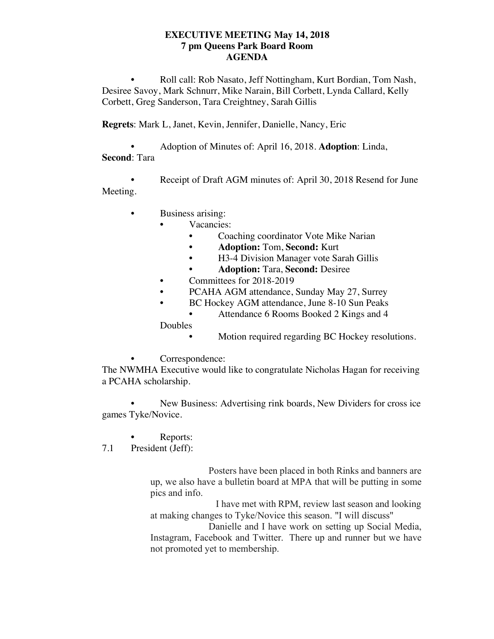## **EXECUTIVE MEETING May 14, 2018 7 pm Queens Park Board Room AGENDA**

• Roll call: Rob Nasato, Jeff Nottingham, Kurt Bordian, Tom Nash, Desiree Savoy, Mark Schnurr, Mike Narain, Bill Corbett, Lynda Callard, Kelly Corbett, Greg Sanderson, Tara Creightney, Sarah Gillis

**Regrets**: Mark L, Janet, Kevin, Jennifer, Danielle, Nancy, Eric

• Adoption of Minutes of: April 16, 2018. **Adoption**: Linda, **Second**: Tara

• Receipt of Draft AGM minutes of: April 30, 2018 Resend for June Meeting.

- Business arising:
	- Vacancies:
		- Coaching coordinator Vote Mike Narian
		- **• Adoption:** Tom, **Second:** Kurt
		- H3-4 Division Manager vote Sarah Gillis
		- **• Adoption:** Tara, **Second:** Desiree
	- Committees for 2018-2019
	- PCAHA AGM attendance, Sunday May 27, Surrey
	- BC Hockey AGM attendance, June 8-10 Sun Peaks
		- Attendance 6 Rooms Booked 2 Kings and 4

Doubles

- Motion required regarding BC Hockey resolutions.
- Correspondence:

The NWMHA Executive would like to congratulate Nicholas Hagan for receiving a PCAHA scholarship.

• New Business: Advertising rink boards, New Dividers for cross ice games Tyke/Novice.

Reports:

7.1 President (Jeff):

 Posters have been placed in both Rinks and banners are up, we also have a bulletin board at MPA that will be putting in some pics and info.

 I have met with RPM, review last season and looking at making changes to Tyke/Novice this season. "I will discuss"

 Danielle and I have work on setting up Social Media, Instagram, Facebook and Twitter. There up and runner but we have not promoted yet to membership.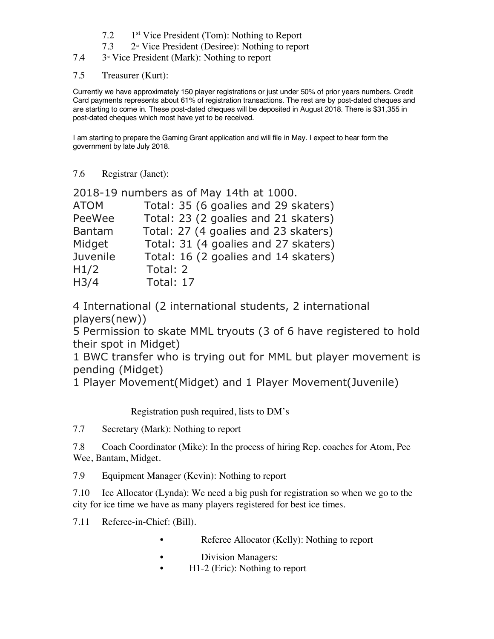- 7.2 1st Vice President (Tom): Nothing to Report
- $7.3$  2<sup>nd</sup> Vice President (Desiree): Nothing to report
- $7.4\qquad$  3<sup>rd</sup> Vice President (Mark): Nothing to report
- 7.5 Treasurer (Kurt):

Currently we have approximately 150 player registrations or just under 50% of prior years numbers. Credit Card payments represents about 61% of registration transactions. The rest are by post-dated cheques and are starting to come in. These post-dated cheques will be deposited in August 2018. There is \$31,355 in post-dated cheques which most have yet to be received.

I am starting to prepare the Gaming Grant application and will file in May. I expect to hear form the government by late July 2018.

7.6 Registrar (Janet):

|                   | 2018-19 numbers as of May 14th at 1000. |
|-------------------|-----------------------------------------|
| <b>ATOM</b>       | Total: 35 (6 goalies and 29 skaters)    |
| PeeWee            | Total: 23 (2 goalies and 21 skaters)    |
| <b>Bantam</b>     | Total: 27 (4 goalies and 23 skaters)    |
| Midget            | Total: 31 (4 goalies and 27 skaters)    |
| Juvenile          | Total: 16 (2 goalies and 14 skaters)    |
| H1/2              | Total: 2                                |
| H <sub>3</sub> /4 | Total: 17                               |
|                   |                                         |

4 International (2 international students, 2 international players(new))

5 Permission to skate MML tryouts (3 of 6 have registered to hold their spot in Midget)

1 BWC transfer who is trying out for MML but player movement is pending (Midget)

1 Player Movement(Midget) and 1 Player Movement(Juvenile)

Registration push required, lists to DM's

7.7 Secretary (Mark): Nothing to report

7.8 Coach Coordinator (Mike): In the process of hiring Rep. coaches for Atom, Pee Wee, Bantam, Midget.

7.9 Equipment Manager (Kevin): Nothing to report

7.10 Ice Allocator (Lynda): We need a big push for registration so when we go to the city for ice time we have as many players registered for best ice times.

- 7.11 Referee-in-Chief: (Bill).
	- Referee Allocator (Kelly): Nothing to report
	- Division Managers:
	- H1-2 (Eric): Nothing to report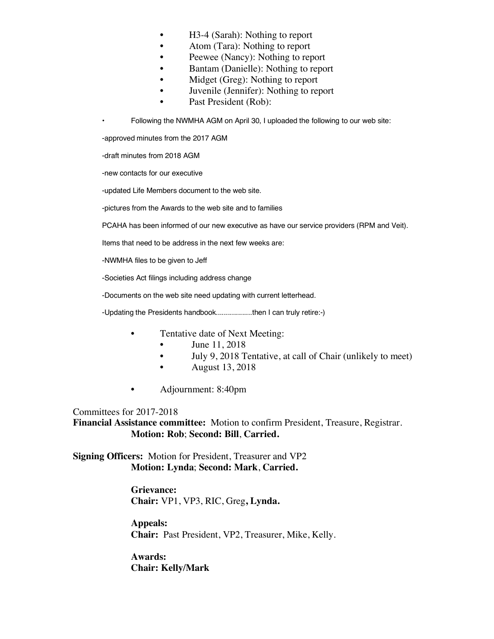- H3-4 (Sarah): Nothing to report
- Atom (Tara): Nothing to report
- Peewee (Nancy): Nothing to report
- Bantam (Danielle): Nothing to report
- Midget (Greg): Nothing to report
- Juvenile (Jennifer): Nothing to report
- Past President (Rob):

• Following the NWMHA AGM on April 30, I uploaded the following to our web site:

-approved minutes from the 2017 AGM

-draft minutes from 2018 AGM

-new contacts for our executive

-updated Life Members document to the web site.

-pictures from the Awards to the web site and to families

PCAHA has been informed of our new executive as have our service providers (RPM and Veit).

Items that need to be address in the next few weeks are:

-NWMHA files to be given to Jeff

-Societies Act filings including address change

-Documents on the web site need updating with current letterhead.

-Updating the Presidents handbook..................then I can truly retire:-)

- Tentative date of Next Meeting:
	- June 11, 2018
	- July 9, 2018 Tentative, at call of Chair (unlikely to meet)
	- **August 13, 2018**
- Adjournment: 8:40pm

Committees for 2017-2018

**Financial Assistance committee:** Motion to confirm President, Treasure, Registrar. **Motion: Rob**; **Second: Bill**, **Carried.**

**Signing Officers:** Motion for President, Treasurer and VP2 **Motion: Lynda**; **Second: Mark**, **Carried.**

> **Grievance: Chair:** VP1, VP3, RIC, Greg**, Lynda.**

**Appeals: Chair:** Past President, VP2, Treasurer, Mike, Kelly.

**Awards: Chair: Kelly/Mark**